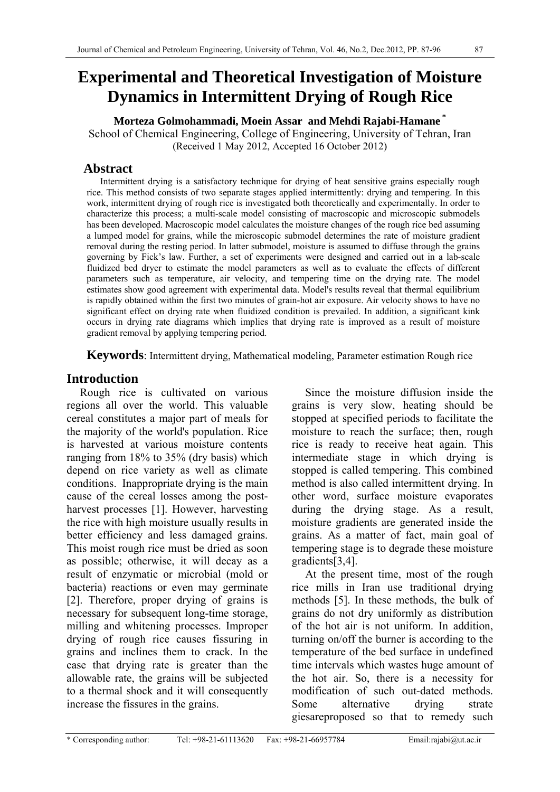# **Experimental and Theoretical Investigation of Moisture Dynamics in Intermittent Drying of Rough Rice**

**Morteza Golmohammadi, Moein Assar and Mehdi Rajabi-Hamane \***  School of Chemical Engineering, College of Engineering, University of Tehran, Iran (Received 1 May 2012, Accepted 16 October 2012)

## **Abstract**

Intermittent drying is a satisfactory technique for drying of heat sensitive grains especially rough rice. This method consists of two separate stages applied intermittently: drying and tempering. In this work, intermittent drying of rough rice is investigated both theoretically and experimentally. In order to characterize this process; a multi-scale model consisting of macroscopic and microscopic submodels has been developed. Macroscopic model calculates the moisture changes of the rough rice bed assuming a lumped model for grains, while the microscopic submodel determines the rate of moisture gradient removal during the resting period. In latter submodel, moisture is assumed to diffuse through the grains governing by Fick's law. Further, a set of experiments were designed and carried out in a lab-scale fluidized bed dryer to estimate the model parameters as well as to evaluate the effects of different parameters such as temperature, air velocity, and tempering time on the drying rate. The model estimates show good agreement with experimental data. Model's results reveal that thermal equilibrium is rapidly obtained within the first two minutes of grain-hot air exposure. Air velocity shows to have no significant effect on drying rate when fluidized condition is prevailed. In addition, a significant kink occurs in drying rate diagrams which implies that drying rate is improved as a result of moisture gradient removal by applying tempering period.

**Keywords**: Intermittent drying, Mathematical modeling, Parameter estimation Rough rice

## **Introduction**

Rough rice is cultivated on various regions all over the world. This valuable cereal constitutes a major part of meals for the majority of the world's population. Rice is harvested at various moisture contents ranging from 18% to 35% (dry basis) which depend on rice variety as well as climate conditions. Inappropriate drying is the main cause of the cereal losses among the postharvest processes [1]. However, harvesting the rice with high moisture usually results in better efficiency and less damaged grains. This moist rough rice must be dried as soon as possible; otherwise, it will decay as a result of enzymatic or microbial (mold or bacteria) reactions or even may germinate [2]. Therefore, proper drying of grains is necessary for subsequent long-time storage, milling and whitening processes. Improper drying of rough rice causes fissuring in grains and inclines them to crack. In the case that drying rate is greater than the allowable rate, the grains will be subjected to a thermal shock and it will consequently increase the fissures in the grains.

Since the moisture diffusion inside the grains is very slow, heating should be stopped at specified periods to facilitate the moisture to reach the surface; then, rough rice is ready to receive heat again. This intermediate stage in which drying is stopped is called tempering. This combined method is also called intermittent drying. In other word, surface moisture evaporates during the drying stage. As a result, moisture gradients are generated inside the grains. As a matter of fact, main goal of tempering stage is to degrade these moisture gradients[3,4].

At the present time, most of the rough rice mills in Iran use traditional drying methods [5]. In these methods, the bulk of grains do not dry uniformly as distribution of the hot air is not uniform. In addition, turning on/off the burner is according to the temperature of the bed surface in undefined time intervals which wastes huge amount of the hot air. So, there is a necessity for modification of such out-dated methods. Some alternative drying strate giesareproposed so that to remedy such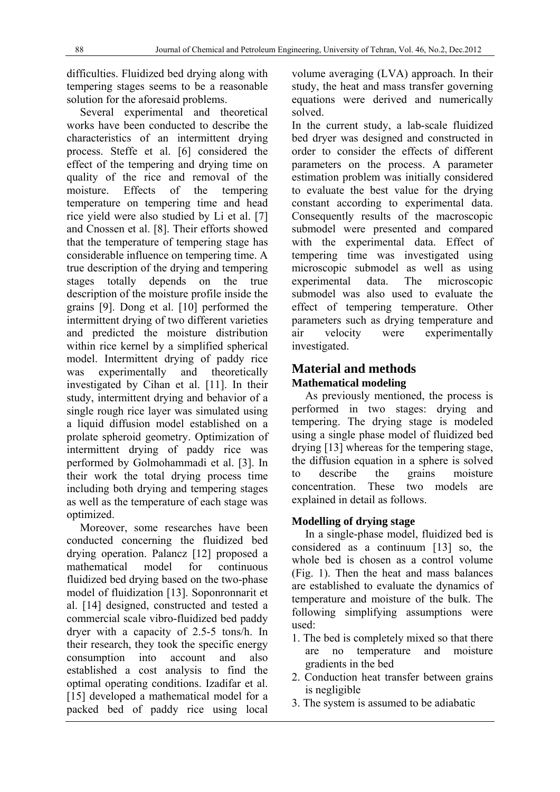difficulties. Fluidized bed drying along with tempering stages seems to be a reasonable solution for the aforesaid problems.

Several experimental and theoretical works have been conducted to describe the characteristics of an intermittent drying process. Steffe et al. [6] considered the effect of the tempering and drying time on quality of the rice and removal of the moisture. Effects of the tempering temperature on tempering time and head rice yield were also studied by Li et al. [7] and Cnossen et al. [8]. Their efforts showed that the temperature of tempering stage has considerable influence on tempering time. A true description of the drying and tempering stages totally depends on the true description of the moisture profile inside the grains [9]. Dong et al. [10] performed the intermittent drying of two different varieties and predicted the moisture distribution within rice kernel by a simplified spherical model. Intermittent drying of paddy rice was experimentally and theoretically investigated by Cihan et al. [11]. In their study, intermittent drying and behavior of a single rough rice layer was simulated using a liquid diffusion model established on a prolate spheroid geometry. Optimization of intermittent drying of paddy rice was performed by Golmohammadi et al. [3]. In their work the total drying process time including both drying and tempering stages as well as the temperature of each stage was optimized.

Moreover, some researches have been conducted concerning the fluidized bed drying operation. Palancz [12] proposed a mathematical model for continuous fluidized bed drying based on the two-phase model of fluidization [13]. Soponronnarit et al. [14] designed, constructed and tested a commercial scale vibro-fluidized bed paddy dryer with a capacity of 2.5-5 tons/h. In their research, they took the specific energy consumption into account and also established a cost analysis to find the optimal operating conditions. Izadifar et al. [15] developed a mathematical model for a packed bed of paddy rice using local

volume averaging (LVA) approach. In their study, the heat and mass transfer governing equations were derived and numerically solved.

In the current study, a lab-scale fluidized bed dryer was designed and constructed in order to consider the effects of different parameters on the process. A parameter estimation problem was initially considered to evaluate the best value for the drying constant according to experimental data. Consequently results of the macroscopic submodel were presented and compared with the experimental data. Effect of tempering time was investigated using microscopic submodel as well as using experimental data. The microscopic submodel was also used to evaluate the effect of tempering temperature. Other parameters such as drying temperature and air velocity were experimentally investigated.

## **Material and methods Mathematical modeling**

As previously mentioned, the process is performed in two stages: drying and tempering. The drying stage is modeled using a single phase model of fluidized bed drying [13] whereas for the tempering stage, the diffusion equation in a sphere is solved to describe the grains moisture concentration. These two models are explained in detail as follows.

## **Modelling of drying stage**

In a single-phase model, fluidized bed is considered as a continuum [13] so, the whole bed is chosen as a control volume (Fig. 1). Then the heat and mass balances are established to evaluate the dynamics of temperature and moisture of the bulk. The following simplifying assumptions were used:

- 1. The bed is completely mixed so that there are no temperature and moisture gradients in the bed
- 2. Conduction heat transfer between grains is negligible
- 3. The system is assumed to be adiabatic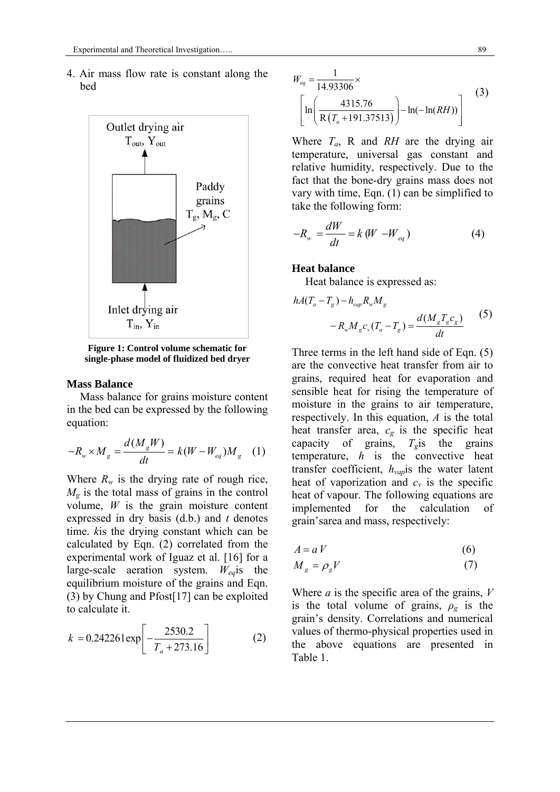4. Air mass flow rate is constant along the bed



**Figure 1: Control volume schematic for single-phase model of fluidized bed dryer** 

#### **Mass Balance**

Mass balance for grains moisture content in the bed can be expressed by the following equation:

$$
-R_w \times M_g = \frac{d(M_g W)}{dt} = k(W - W_{eq})M_g \quad (1)
$$

Where  $R_w$  is the drying rate of rough rice,  $M_{\rm g}$  is the total mass of grains in the control volume, *W* is the grain moisture content expressed in dry basis (d.b.) and *t* denotes time. *k*is the drying constant which can be calculated by Eqn. (2) correlated from the experimental work of Iguaz et al. [16] for a large-scale aeration system. *Weq*is the equilibrium moisture of the grains and Eqn. (3) by Chung and Pfost[17] can be exploited to calculate it.

$$
k = 0.242261 \exp\left[-\frac{2530.2}{T_a + 273.16}\right]
$$
 (2)

$$
W_{eq} = \frac{1}{14.93306} \times \left[ \ln \left( \frac{4315.76}{R(T_a + 191.37513)} \right) - \ln(-\ln(RH)) \right]
$$
(3)

Where *Ta*, R and *RH* are the drying air temperature, universal gas constant and relative humidity, respectively. Due to the fact that the bone-dry grains mass does not vary with time, Eqn. (1) can be simplified to take the following form:

$$
-R_w = \frac{dW}{dt} = k (W - W_{eq})
$$
 (4)

#### **Heat balance**

Heat balance is expressed as:

$$
hA(T_a - T_g) - h_{vap} R_w M_g
$$
  
-  $R_w M_g c_v (T_a - T_g) = \frac{d(M_g T_g c_g)}{dt}$  (5)

Three terms in the left hand side of Eqn. (5) are the convective heat transfer from air to grains, required heat for evaporation and sensible heat for rising the temperature of moisture in the grains to air temperature, respectively. In this equation, *A* is the total heat transfer area,  $c_g$  is the specific heat capacity of grains,  $T_g$ is the grains temperature, *h* is the convective heat transfer coefficient, *hvap*is the water latent heat of vaporization and  $c_v$  is the specific heat of vapour. The following equations are implemented for the calculation of grain'sarea and mass, respectively:

$$
A = a V \tag{6}
$$

$$
M_g = \rho_g V \tag{7}
$$

Where *a* is the specific area of the grains, *V* is the total volume of grains,  $\rho_g$  is the grain's density. Correlations and numerical values of thermo-physical properties used in the above equations are presented in Table 1.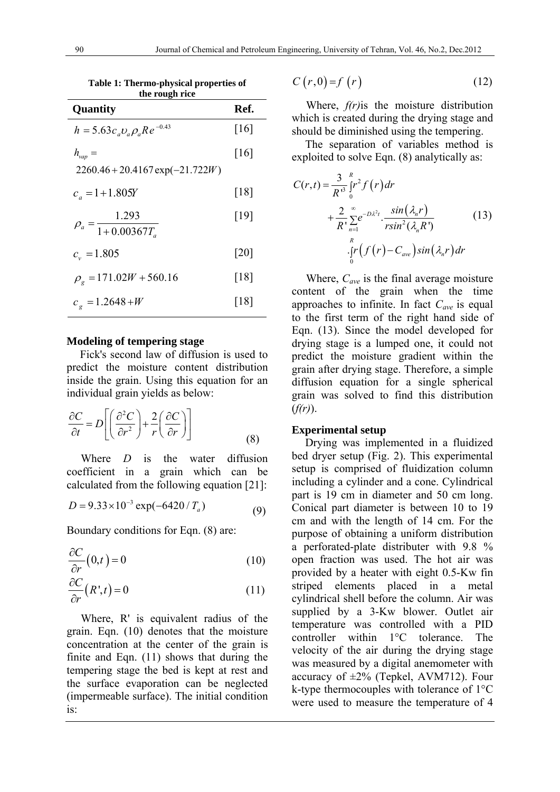**Table 1: Thermo-physical properties of the rough rice** 

| Quantity                                      | Ref.               |
|-----------------------------------------------|--------------------|
| $h = 5.63 c_a v_a \rho_a Re^{-0.43}$          | [16]               |
| $h_{\rm vap} =$                               | [16]               |
| $2260.46 + 20.4167 \exp(-21.722W)$            |                    |
| $c_a = 1 + 1.805Y$                            | $[18]$             |
| 1.293<br>$\rho_a = \frac{1}{1 + 0.00367 T_a}$ | [19]               |
| $c_v = 1.805$                                 | $\lceil 20 \rceil$ |
| $\rho_{\rm g} = 171.02W + 560.16$             | $[18]$             |
| $ce = 1.2648+W$                               | [18]               |

### **Modeling of tempering stage**

Fick's second law of diffusion is used to predict the moisture content distribution inside the grain. Using this equation for an individual grain yields as below:

$$
\frac{\partial C}{\partial t} = D \left[ \left( \frac{\partial^2 C}{\partial r^2} \right) + \frac{2}{r} \left( \frac{\partial C}{\partial r} \right) \right]
$$
(8)

 Where *D* is the water diffusion coefficient in a grain which can be calculated from the following equation [21]:

$$
D = 9.33 \times 10^{-3} \exp(-6420 / T_a)
$$
 (9)

Boundary conditions for Eqn. (8) are:

$$
\frac{\partial C}{\partial r}(0,t) = 0\tag{10}
$$

$$
\frac{\partial C}{\partial r}(R^*,t) = 0\tag{11}
$$

 Where, R' is equivalent radius of the grain. Eqn. (10) denotes that the moisture concentration at the center of the grain is finite and Eqn. (11) shows that during the tempering stage the bed is kept at rest and the surface evaporation can be neglected (impermeable surface). The initial condition is:

$$
C(r,0)=f(r) \tag{12}
$$

 Where, *f(r)*is the moisture distribution which is created during the drying stage and should be diminished using the tempering.

The separation of variables method is exploited to solve Eqn. (8) analytically as:

$$
C(r,t) = \frac{3}{R^{3}} \int_{0}^{R} r^{2} f(r) dr
$$
  
+ 
$$
\frac{2}{R^{3}} \sum_{n=1}^{\infty} e^{-D\lambda^{2}t} \cdot \frac{\sin(\lambda_{n}r)}{r \sin^{2}(\lambda_{n} R^{3})}
$$
(13)  

$$
\int_{0}^{R} f(r) - C_{ave} \sin(\lambda_{n}r) dr
$$

 Where, *Cave* is the final average moisture content of the grain when the time approaches to infinite. In fact  $C_{ave}$  is equal to the first term of the right hand side of Eqn. (13). Since the model developed for drying stage is a lumped one, it could not predict the moisture gradient within the grain after drying stage. Therefore, a simple diffusion equation for a single spherical grain was solved to find this distribution (*f(r)*).

#### **Experimental setup**

Drying was implemented in a fluidized bed dryer setup (Fig. 2). This experimental setup is comprised of fluidization column including a cylinder and a cone. Cylindrical part is 19 cm in diameter and 50 cm long. Conical part diameter is between 10 to 19 cm and with the length of 14 cm. For the purpose of obtaining a uniform distribution a perforated-plate distributer with 9.8 % open fraction was used. The hot air was provided by a heater with eight 0.5-Kw fin striped elements placed in a metal cylindrical shell before the column. Air was supplied by a 3-Kw blower. Outlet air temperature was controlled with a PID controller within 1°C tolerance. The velocity of the air during the drying stage was measured by a digital anemometer with accuracy of  $\pm 2\%$  (Tepkel, AVM712). Four k-type thermocouples with tolerance of 1°C were used to measure the temperature of 4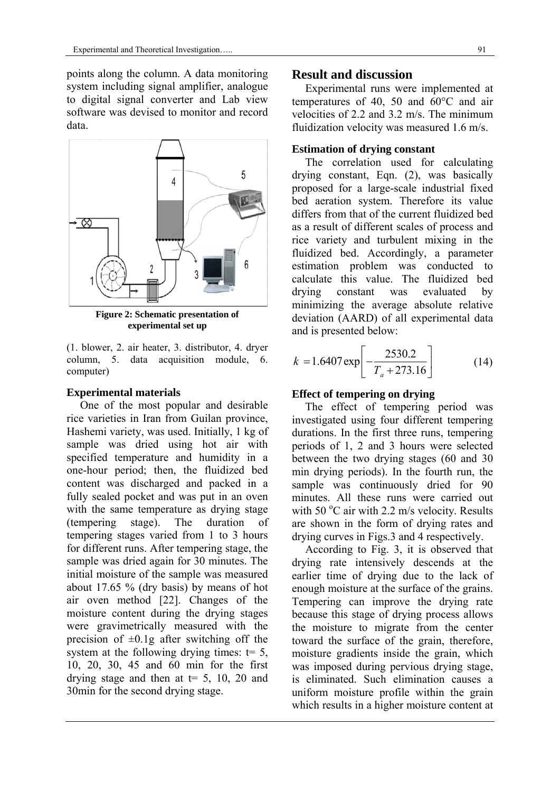points along the column. A data monitoring system including signal amplifier, analogue to digital signal converter and Lab view software was devised to monitor and record data.



**Figure 2: Schematic presentation of experi imental set up p**

(1. blower, 2. air heater, 3. distributor, 4. dryer column, 5. data acquisition n module, 6. computer)

### **Experimental materials**

One of the most popular and desirable rice varieties in Iran from Guilan province, Hashemi variety, was used. Initially, 1 kg of sample was dried using hot air with specified temperature and humidity in a one-hour period; then, the fluidized bed content was discharged and packed in a fully sealed pocket and was put in an oven with the same temperature as drying stage (temper tempering stages varied from 1 to 3 hours for different runs. After tempering stage, the sample was dried again for 30 minutes. The initial moisture of the sample was measured about  $17.65\%$  (dry basis) by means of hot air oven method [22]. Changes of the moisture content during the drying stages were gravimetrically measured with the precision of  $\pm 0.1$ g after switching off the system at the following drying times:  $t=5$ , 10, 20, 30, 45 and 60 min for the first drying stage and then at  $t=$  5, 10, 20 and 30min for the second drying stage. stage). The duration of

## **Re esult and discussio on**

tem mperatures of 40, 50 and 60°C and air velocities of 2.2 and 3.2 m/s. The minimum fluidization velocity was measured 1.6 m/s. Experimental runs were implemented at

### **Estimation of drying constant**

drying constant, Eqn. (2), was basically proposed for a large-scale industrial fixed bed aeration system. Therefore its value differs from that of the current fluidized bed as a result of different scales of process and rice variety and turbulent mixing in the fluidized bed. Accordingly, a parameter estimation problem was conducted to calculate this value. The fluidized bed drying minimizing the average absolute relative deviation (AARD) of all experimental data and is presented below: The correlation used for calculating ying cons stant was s evaluated by

$$
k = 1.6407 \exp\left[-\frac{2530.2}{T_a + 273.16}\right]
$$
 (14)

## **Effect of tempering on drying**

investigated using four different tempering durations. In the first three runs, tempering periods of 1, 2 and 3 hours were selected between the two drying stages (60 and 30 mi in drying p eriods). In the fourth run, the sample was continuously dried for 90 minutes. All these runs were carried out with 50 $\degree$ C air with 2.2 m/s velocity. Results are shown in the form of drying rates and drying curves in Figs.3 and 4 respectively. The effect of tempering period was

drying rate intensively descends at the earlier time of drying due to the lack of enough moisture at the surface of the grains. Tempering can improve the drying rate because this stage of drying process allows the moisture to migrate from the center toward the surface of the grain, therefore, moisture gradients inside the grain, which was imposed during pervious drying stage, is eliminated. Such elimination causes a uniform moisture profile within the grain which results in a higher moisture content at According to Fig.  $3$ , it is observed that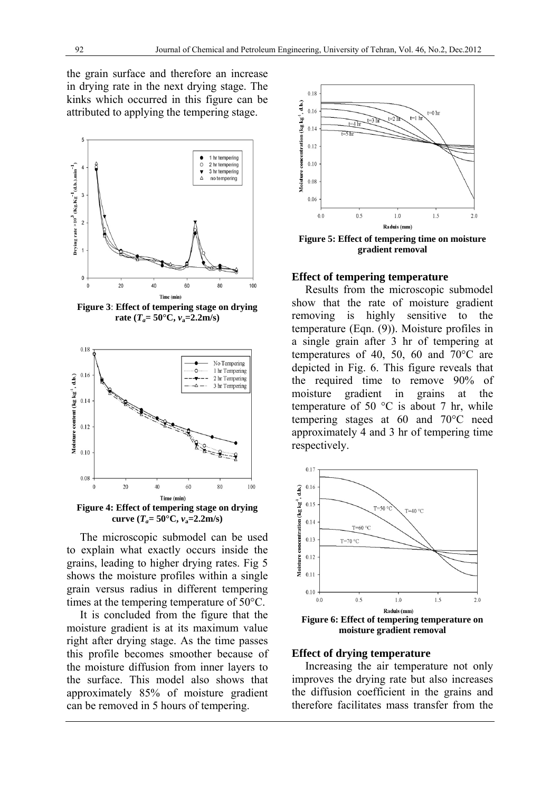the grain surface and therefore an increase in drying rate in the next drying stage. The kinks which occurred in this figure can be attributed to applying the tempering stage.



**Figure 3**: **Effect of tempering stage on drying**  rate  $(T_a = 50^{\circ} \text{C}, v_a = 2.2 \text{m/s})$ 



**curve**  $(T_a = 50^{\circ} \text{C}, v_a = 2.2 \text{m/s})$ 

The microscopic submodel can be used to explain what exactly occurs inside the grains, leading to higher drying rates. Fig 5 shows the moisture profiles within a single grain versus radius in different tempering times at the tempering temperature of 50°C.

It is concluded from the figure that the moisture gradient is at its maximum value right after drying stage. As the time passes this profile becomes smoother because of the moisture diffusion from inner layers to the surface. This model also shows that approximately 85% of moisture gradient can be removed in 5 hours of tempering.



**Figure 5: Effect of tempering time on moisture gradient removal**

#### **Effect of tempering temperature**

Results from the microscopic submodel show that the rate of moisture gradient removing is highly sensitive to the temperature (Eqn. (9)). Moisture profiles in a single grain after 3 hr of tempering at temperatures of 40, 50, 60 and 70°C are depicted in Fig. 6. This figure reveals that the required time to remove 90% of moisture gradient in grains at the temperature of 50  $\degree$ C is about 7 hr, while tempering stages at 60 and 70°C need approximately 4 and 3 hr of tempering time respectively.



#### **Effect of drying temperature**

Increasing the air temperature not only improves the drying rate but also increases the diffusion coefficient in the grains and therefore facilitates mass transfer from the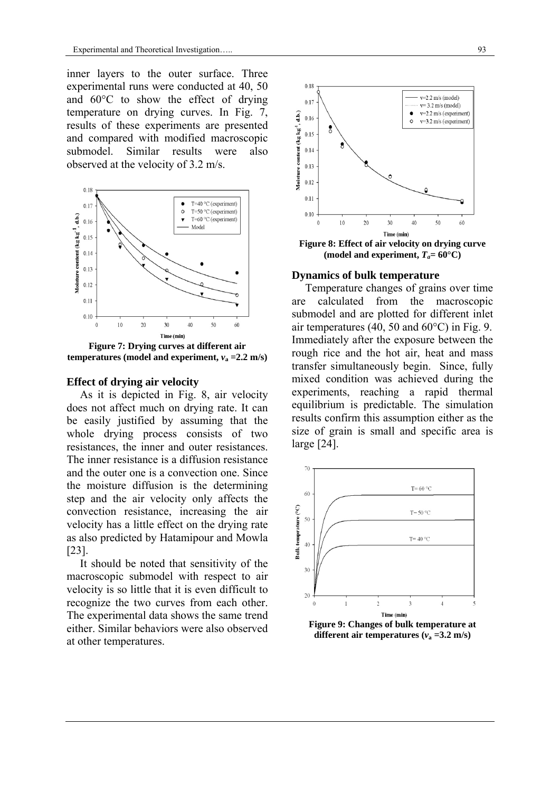inner layers to the outer surface. Three experimental runs were conducted at 40, 50 and 60°C to show the effect of drying temperature on drying curves. In Fig. 7, results of these experiments are presented and compared with modified macroscopic submodel. Similar results were also observed at the velocity of 3.2 m/s.



**Figure 7: Drying curves at different air temperatures (model and experiment,**  $v_a = 2.2$  **m/s)** 

#### **Effect of drying air velocity**

As it is depicted in Fig. 8, air velocity does not affect much on drying rate. It can be easily justified by assuming that the whole drying process consists of two resistances, the inner and outer resistances. The inner resistance is a diffusion resistance and the outer one is a convection one. Since the moisture diffusion is the determining step and the air velocity only affects the convection resistance, increasing the air velocity has a little effect on the drying rate as also predicted by Hatamipour and Mowla [23].

It should be noted that sensitivity of the macroscopic submodel with respect to air velocity is so little that it is even difficult to recognize the two curves from each other. The experimental data shows the same trend either. Similar behaviors were also observed at other temperatures.



(model and experiment,  $T_a = 60^{\circ}$ C)

#### **Dynamics of bulk temperature**

Temperature changes of grains over time are calculated from the macroscopic submodel and are plotted for different inlet air temperatures (40, 50 and 60°C) in Fig. 9. Immediately after the exposure between the rough rice and the hot air, heat and mass transfer simultaneously begin. Since, fully mixed condition was achieved during the experiments, reaching a rapid thermal equilibrium is predictable. The simulation results confirm this assumption either as the size of grain is small and specific area is large [24].



**different air temperatures (** $v_a = 3.2$  **m/s)**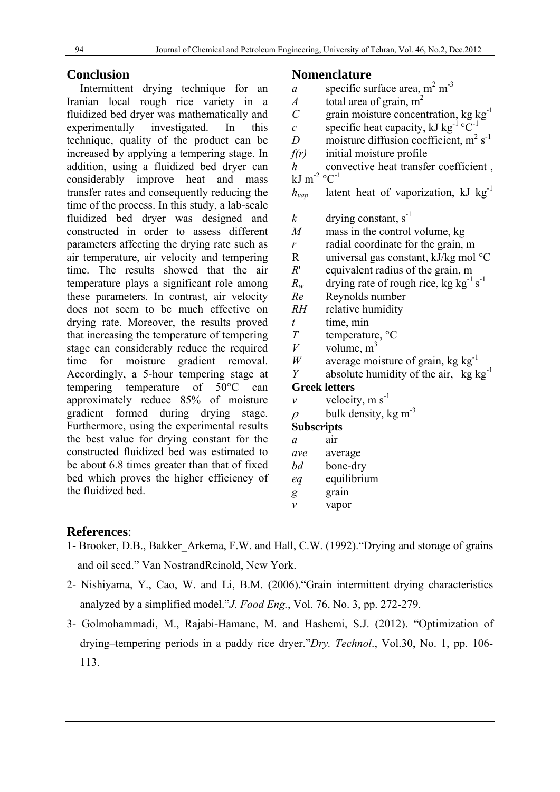## **Conclusion**

Intermittent drying technique for an Iranian local rough rice variety in a fluidized bed dryer was mathematically and experimentally investigated. In this technique, quality of the product can be increased by applying a tempering stage. In addition, using a fluidized bed dryer can considerably improve heat and mass transfer rates and consequently reducing the time of the process. In this study, a lab-scale fluidized bed dryer was designed and constructed in order to assess different parameters affecting the drying rate such as air temperature, air velocity and tempering time. The results showed that the air temperature plays a significant role among these parameters. In contrast, air velocity does not seem to be much effective on drying rate. Moreover, the results proved that increasing the temperature of tempering stage can considerably reduce the required time for moisture gradient removal. Accordingly, a 5-hour tempering stage at tempering temperature of 50°C can approximately reduce 85% of moisture gradient formed during drying stage. Furthermore, using the experimental results the best value for drying constant for the constructed fluidized bed was estimated to be about 6.8 times greater than that of fixed bed which proves the higher efficiency of the fluidized bed.

## **Nomenclature**

- *a* specific surface area,  $m^2 m^{-3}$
- *A* total area of grain,  $m<sup>2</sup>$
- *C* grain moisture concentration, kg  $kg^{-1}$
- *c* specific heat capacity, kJ kg<sup>-1</sup>  $\degree$ C<sup>-1</sup>
- *D* moisture diffusion coefficient,  $m^2 s^{-1}$
- *f(r)* initial moisture profile
- *h* convective heat transfer coefficient, kJ m<sup>-2</sup>  $^{\circ}$ C<sup>-1</sup>
- $h_{van}$  latent heat of vaporization, kJ kg<sup>-1</sup>
- *k* drying constant,  $s^{-1}$
- *M* mass in the control volume, kg
- *r* radial coordinate for the grain, m
- R universal gas constant, kJ/kg mol °C
- *R*' equivalent radius of the grain, m
- $R_w$  drying rate of rough rice, kg kg<sup>-1</sup> s<sup>-1</sup>
- *Re* Reynolds number
- *RH* relative humidity
- *t* time, min
- *T* temperature, °C
- *V* volume,  $m<sup>3</sup>$
- *W* average moisture of grain, kg kg<sup>-1</sup>
- *Y* absolute humidity of the air,  $kg \log^{-1}$

## **Greek letters**

- *v* velocity,  $m s^{-1}$
- $\rho$  bulk density, kg m<sup>-3</sup>

## **Subscripts**

- *a* air
- *ave* average
- *bd* bone-dry *eq* equilibrium
- *g* grain
- *v* vapor

## **References**:

- 1- Brooker, D.B., Bakker\_Arkema, F.W. and Hall, C.W. (1992)."Drying and storage of grains and oil seed." Van NostrandReinold, New York.
- 2- Nishiyama, Y., Cao, W. and Li, B.M. (2006)."Grain intermittent drying characteristics analyzed by a simplified model."*J. Food Eng.*, Vol. 76, No. 3, pp. 272-279.
- 3- Golmohammadi, M., Rajabi-Hamane, M. and Hashemi, S.J. (2012). "Optimization of drying–tempering periods in a paddy rice dryer."*Dry. Technol*., Vol.30, No. 1, pp. 106- 113.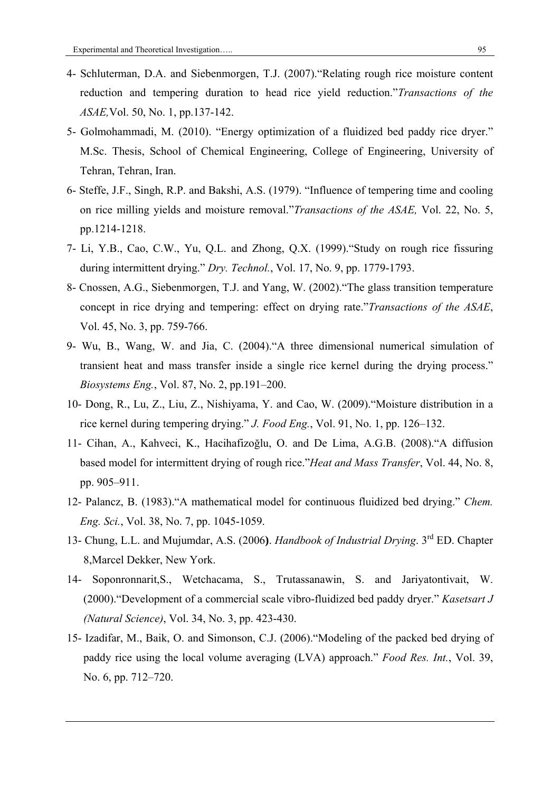- 4- Schluterman, D.A. and Siebenmorgen, T.J. (2007)."Relating rough rice moisture content reduction and tempering duration to head rice yield reduction."*Transactions of the ASAE,*Vol. 50, No. 1, pp.137-142.
- 5- Golmohammadi, M. (2010). "Energy optimization of a fluidized bed paddy rice dryer." M.Sc. Thesis, School of Chemical Engineering, College of Engineering, University of Tehran, Tehran, Iran.
- 6- Steffe, J.F., Singh, R.P. and Bakshi, A.S. (1979). "Influence of tempering time and cooling on rice milling yields and moisture removal."*Transactions of the ASAE,* Vol. 22, No. 5, pp.1214-1218.
- 7- Li, Y.B., Cao, C.W., Yu, Q.L. and Zhong, Q.X. (1999)."Study on rough rice fissuring during intermittent drying." *Dry. Technol.*, Vol. 17, No. 9, pp. 1779-1793.
- 8- Cnossen, A.G., Siebenmorgen, T.J. and Yang, W. (2002)."The glass transition temperature concept in rice drying and tempering: effect on drying rate."*Transactions of the ASAE*, Vol. 45, No. 3, pp. 759-766.
- 9- Wu, B., Wang, W. and Jia, C. (2004)."A three dimensional numerical simulation of transient heat and mass transfer inside a single rice kernel during the drying process." *Biosystems Eng.*, Vol. 87, No. 2, pp.191–200.
- 10- Dong, R., Lu, Z., Liu, Z., Nishiyama, Y. and Cao, W. (2009)."Moisture distribution in a rice kernel during tempering drying." *J. Food Eng.*, Vol. 91, No. 1, pp. 126–132.
- 11- Cihan, A., Kahveci, K., Hacihafizoğlu, O. and De Lima, A.G.B. (2008)."A diffusion based model for intermittent drying of rough rice."*Heat and Mass Transfer*, Vol. 44, No. 8, pp. 905–911.
- 12- Palancz, B. (1983)."A mathematical model for continuous fluidized bed drying." *Chem. Eng. Sci.*, Vol. 38, No. 7, pp. 1045-1059.
- 13- Chung, L.L. and Mujumdar, A.S. (2006**)**. *Handbook of Industrial Drying*. 3rd ED. Chapter 8,Marcel Dekker, New York.
- 14- Soponronnarit,S., Wetchacama, S., Trutassanawin, S. and Jariyatontivait, W. (2000)."Development of a commercial scale vibro-fluidized bed paddy dryer." *Kasetsart J (Natural Science)*, Vol. 34, No. 3, pp. 423-430.
- 15- Izadifar, M., Baik, O. and Simonson, C.J. (2006)."Modeling of the packed bed drying of paddy rice using the local volume averaging (LVA) approach." *Food Res. Int.*, Vol. 39, No. 6, pp. 712–720.